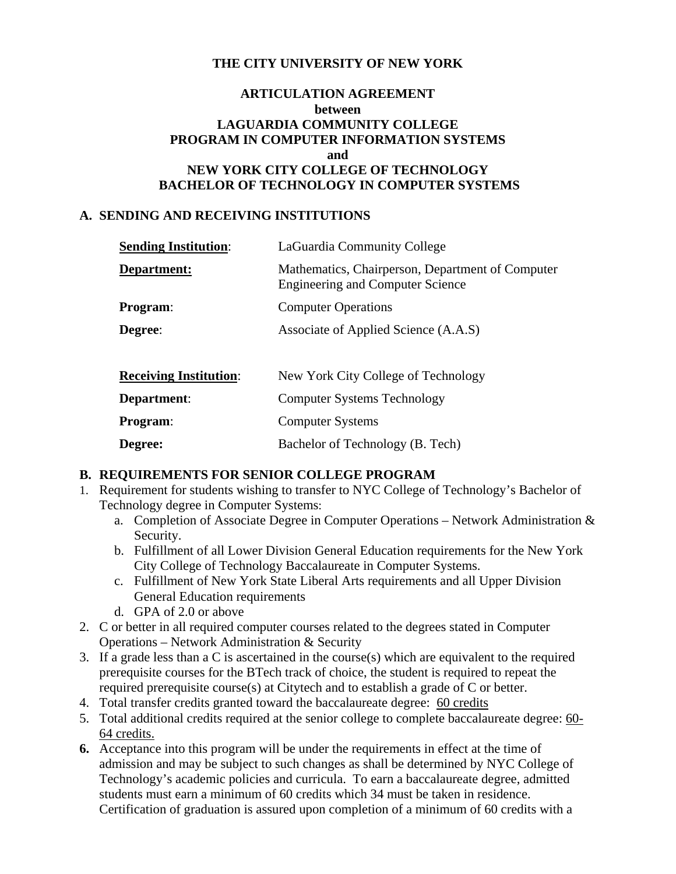## **THE CITY UNIVERSITY OF NEW YORK**

# **ARTICULATION AGREEMENT between LAGUARDIA COMMUNITY COLLEGE PROGRAM IN COMPUTER INFORMATION SYSTEMS and NEW YORK CITY COLLEGE OF TECHNOLOGY BACHELOR OF TECHNOLOGY IN COMPUTER SYSTEMS**

#### **A. SENDING AND RECEIVING INSTITUTIONS**

| <b>Sending Institution:</b>   | LaGuardia Community College                                                                 |
|-------------------------------|---------------------------------------------------------------------------------------------|
| Department:                   | Mathematics, Chairperson, Department of Computer<br><b>Engineering and Computer Science</b> |
| Program:                      | <b>Computer Operations</b>                                                                  |
| Degree:                       | Associate of Applied Science (A.A.S)                                                        |
|                               |                                                                                             |
| <b>Receiving Institution:</b> | New York City College of Technology                                                         |
| Department:                   | <b>Computer Systems Technology</b>                                                          |
| Program:                      | <b>Computer Systems</b>                                                                     |
| Degree:                       | Bachelor of Technology (B. Tech)                                                            |

#### **B. REQUIREMENTS FOR SENIOR COLLEGE PROGRAM**

- 1. Requirement for students wishing to transfer to NYC College of Technology's Bachelor of Technology degree in Computer Systems:
	- a. Completion of Associate Degree in Computer Operations Network Administration & Security.
	- b. Fulfillment of all Lower Division General Education requirements for the New York City College of Technology Baccalaureate in Computer Systems.
	- c. Fulfillment of New York State Liberal Arts requirements and all Upper Division General Education requirements
	- d. GPA of 2.0 or above
- 2. C or better in all required computer courses related to the degrees stated in Computer Operations – Network Administration & Security
- 3. If a grade less than a C is ascertained in the course(s) which are equivalent to the required prerequisite courses for the BTech track of choice, the student is required to repeat the required prerequisite course(s) at Citytech and to establish a grade of C or better.
- 4. Total transfer credits granted toward the baccalaureate degree: 60 credits
- 5. Total additional credits required at the senior college to complete baccalaureate degree: 60- 64 credits.
- **6.** Acceptance into this program will be under the requirements in effect at the time of admission and may be subject to such changes as shall be determined by NYC College of Technology's academic policies and curricula. To earn a baccalaureate degree, admitted students must earn a minimum of 60 credits which 34 must be taken in residence. Certification of graduation is assured upon completion of a minimum of 60 credits with a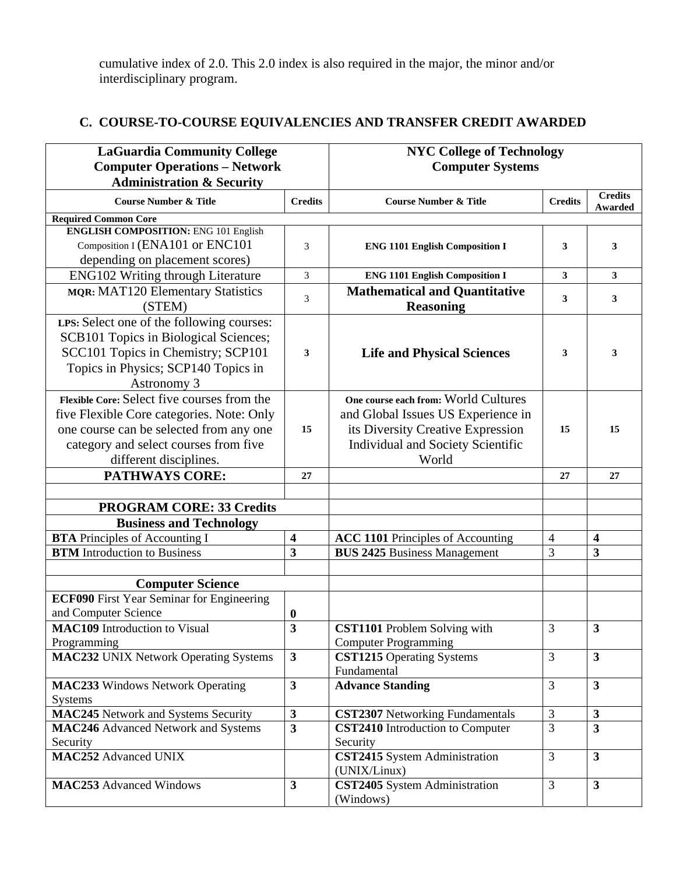cumulative index of 2.0. This 2.0 index is also required in the major, the minor and/or interdisciplinary program.

## **C. COURSE-TO-COURSE EQUIVALENCIES AND TRANSFER CREDIT AWARDED**

| <b>LaGuardia Community College</b>                                             |                         | <b>NYC College of Technology</b>                         |                |                                  |
|--------------------------------------------------------------------------------|-------------------------|----------------------------------------------------------|----------------|----------------------------------|
| <b>Computer Operations - Network</b>                                           |                         | <b>Computer Systems</b>                                  |                |                                  |
| <b>Administration &amp; Security</b>                                           |                         |                                                          |                |                                  |
| <b>Course Number &amp; Title</b>                                               | <b>Credits</b>          | <b>Course Number &amp; Title</b>                         | <b>Credits</b> | <b>Credits</b><br><b>Awarded</b> |
| <b>Required Common Core</b>                                                    |                         |                                                          |                |                                  |
| <b>ENGLISH COMPOSITION: ENG 101 English</b><br>Composition I (ENA101 or ENC101 |                         |                                                          |                |                                  |
|                                                                                | 3                       | <b>ENG 1101 English Composition I</b>                    | 3              | 3                                |
| depending on placement scores)                                                 |                         |                                                          |                |                                  |
| <b>ENG102 Writing through Literature</b>                                       | 3                       | <b>ENG 1101 English Composition I</b>                    | $\mathbf{3}$   | $\mathbf{3}$                     |
| MQR: MAT120 Elementary Statistics<br>(STEM)                                    | 3                       | <b>Mathematical and Quantitative</b><br><b>Reasoning</b> | $\mathbf{3}$   | 3                                |
| LPS: Select one of the following courses:                                      |                         |                                                          |                |                                  |
| SCB101 Topics in Biological Sciences;                                          |                         |                                                          |                |                                  |
| SCC101 Topics in Chemistry; SCP101                                             | 3                       | <b>Life and Physical Sciences</b>                        | 3              | 3                                |
| Topics in Physics; SCP140 Topics in                                            |                         |                                                          |                |                                  |
| Astronomy 3                                                                    |                         |                                                          |                |                                  |
| Flexible Core: Select five courses from the                                    |                         | One course each from: World Cultures                     |                |                                  |
| five Flexible Core categories. Note: Only                                      |                         | and Global Issues US Experience in                       |                |                                  |
| one course can be selected from any one                                        | 15                      | its Diversity Creative Expression                        | 15             | 15                               |
| category and select courses from five                                          |                         | Individual and Society Scientific                        |                |                                  |
| different disciplines.                                                         |                         | World                                                    |                |                                  |
| <b>PATHWAYS CORE:</b>                                                          | 27                      |                                                          | 27             | 27                               |
|                                                                                |                         |                                                          |                |                                  |
| <b>PROGRAM CORE: 33 Credits</b>                                                |                         |                                                          |                |                                  |
| <b>Business and Technology</b>                                                 |                         |                                                          |                |                                  |
| <b>BTA</b> Principles of Accounting I                                          | $\overline{\mathbf{4}}$ | <b>ACC 1101 Principles of Accounting</b>                 | 4              | 4                                |
| <b>BTM</b> Introduction to Business                                            | $\overline{\mathbf{3}}$ | <b>BUS 2425 Business Management</b>                      | 3              | $\overline{\mathbf{3}}$          |
|                                                                                |                         |                                                          |                |                                  |
| <b>Computer Science</b>                                                        |                         |                                                          |                |                                  |
| <b>ECF090</b> First Year Seminar for Engineering                               |                         |                                                          |                |                                  |
| and Computer Science                                                           | $\boldsymbol{0}$        |                                                          |                |                                  |
| <b>MAC109</b> Introduction to Visual                                           | 3                       | <b>CST1101</b> Problem Solving with                      | 3              | 3                                |
| Programming                                                                    |                         | <b>Computer Programming</b>                              |                |                                  |
| <b>MAC232 UNIX Network Operating Systems</b>                                   | $\overline{\mathbf{3}}$ | <b>CST1215</b> Operating Systems<br>Fundamental          | $\overline{3}$ | $\mathbf{3}$                     |
| <b>MAC233</b> Windows Network Operating                                        | $\mathbf{3}$            | <b>Advance Standing</b>                                  | $\overline{3}$ | $\mathbf{3}$                     |
| Systems                                                                        |                         |                                                          |                |                                  |
| <b>MAC245</b> Network and Systems Security                                     | $\mathbf{3}$            | <b>CST2307</b> Networking Fundamentals                   | 3              | $\mathbf{3}$                     |
| <b>MAC246</b> Advanced Network and Systems                                     | $\mathbf{3}$            | CST2410 Introduction to Computer                         | 3              | $\overline{\mathbf{3}}$          |
| Security                                                                       |                         | Security                                                 |                |                                  |
| <b>MAC252 Advanced UNIX</b>                                                    |                         | CST2415 System Administration<br>(UNIX/Linux)            | $\overline{3}$ | $\mathbf{3}$                     |
| <b>MAC253</b> Advanced Windows                                                 | $\mathbf{3}$            | CST2405 System Administration                            | $\overline{3}$ | $\mathbf{3}$                     |
|                                                                                |                         | (Windows)                                                |                |                                  |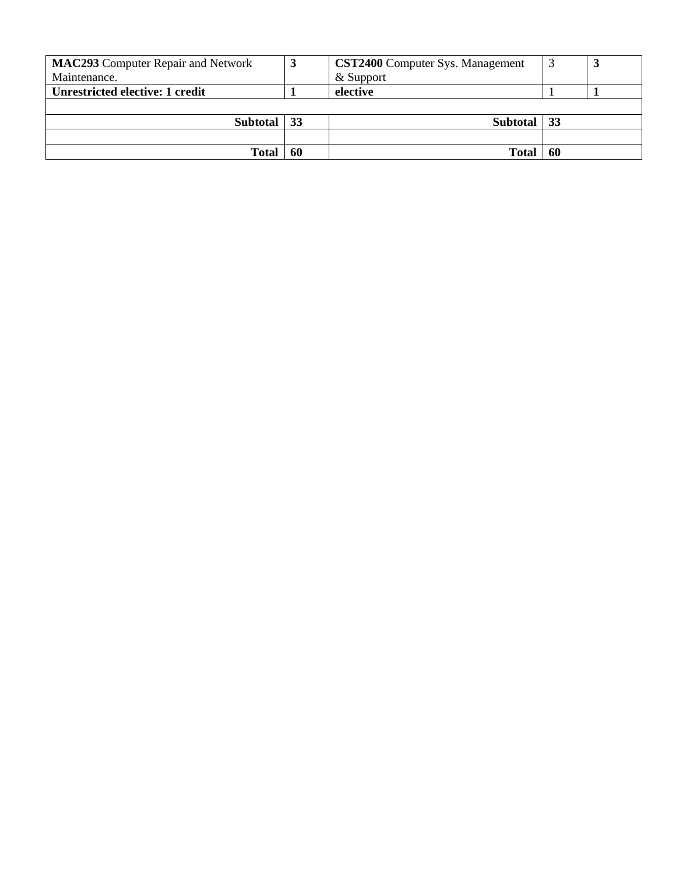| <b>MAC293</b> Computer Repair and Network | 3  | <b>CST2400</b> Computer Sys. Management |     |  |
|-------------------------------------------|----|-----------------------------------------|-----|--|
| Maintenance.                              |    | & Support                               |     |  |
| Unrestricted elective: 1 credit           |    | elective                                |     |  |
|                                           |    |                                         |     |  |
| Subtotal   33                             |    | <b>Subtotal</b>                         | -33 |  |
|                                           |    |                                         |     |  |
| <b>Total</b>                              | 60 | Total                                   | 60  |  |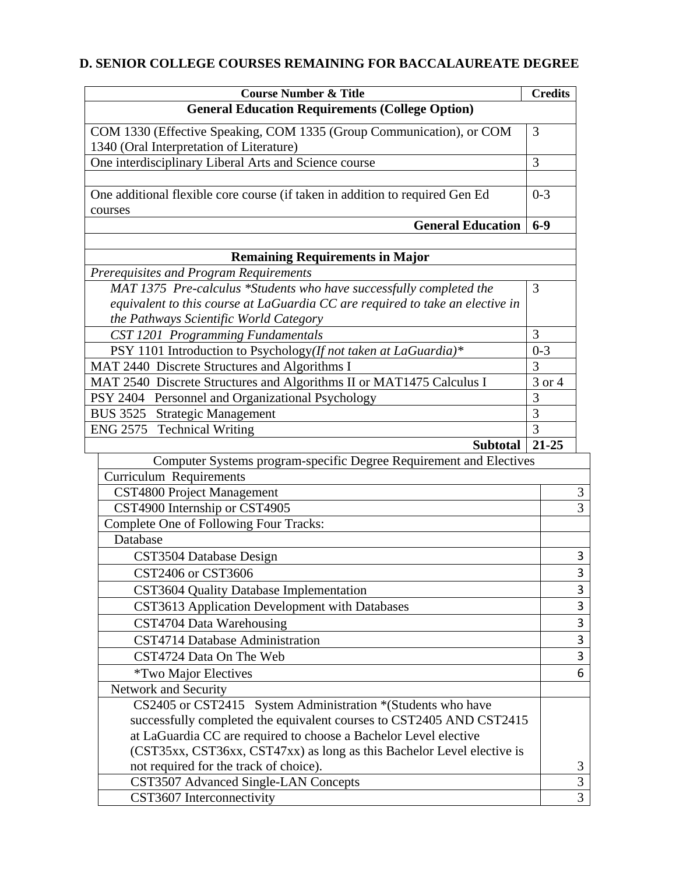## **D. SENIOR COLLEGE COURSES REMAINING FOR BACCALAUREATE DEGREE**

| <b>Course Number &amp; Title</b>                                                 | <b>Credits</b> |
|----------------------------------------------------------------------------------|----------------|
| <b>General Education Requirements (College Option)</b>                           |                |
| COM 1330 (Effective Speaking, COM 1335 (Group Communication), or COM             | 3              |
| 1340 (Oral Interpretation of Literature)                                         |                |
| One interdisciplinary Liberal Arts and Science course                            | $\overline{3}$ |
|                                                                                  |                |
| One additional flexible core course (if taken in addition to required Gen Ed     | $0 - 3$        |
| courses                                                                          |                |
| <b>General Education</b>                                                         | $6-9$          |
|                                                                                  |                |
| <b>Remaining Requirements in Major</b>                                           |                |
| Prerequisites and Program Requirements                                           |                |
| $\overline{MAT}$ 1375 Pre-calculus *Students who have successfully completed the | 3              |
| equivalent to this course at LaGuardia CC are required to take an elective in    |                |
| the Pathways Scientific World Category                                           |                |
| <b>CST 1201 Programming Fundamentals</b>                                         | 3              |
| PSY 1101 Introduction to Psychology(If not taken at LaGuardia)*                  | $0 - 3$        |
| MAT 2440 Discrete Structures and Algorithms I                                    | 3              |
| MAT 2540 Discrete Structures and Algorithms II or MAT1475 Calculus I             | 3 or 4         |
| PSY 2404 Personnel and Organizational Psychology                                 | 3              |
| BUS 3525 Strategic Management                                                    | $\overline{3}$ |
| ENG 2575 Technical Writing                                                       | 3              |
| <b>Subtotal</b>                                                                  | $21 - 25$      |
| Computer Systems program-specific Degree Requirement and Electives               |                |
| <b>Curriculum Requirements</b>                                                   |                |
| CST4800 Project Management                                                       | 3              |
| CST4900 Internship or CST4905                                                    | 3              |
| Complete One of Following Four Tracks:                                           |                |
| Database                                                                         |                |
| CST3504 Database Design                                                          | 3              |
| CST2406 or CST3606                                                               | 3              |
| CST3604 Quality Database Implementation                                          | 3              |
| CST3613 Application Development with Databases                                   | 3              |
| CST4704 Data Warehousing                                                         | 3              |
| CST4714 Database Administration                                                  | $\mathbf{3}$   |
| CST4724 Data On The Web                                                          | 3              |
| <i>*Two Major Electives</i>                                                      | 6              |
| Network and Security                                                             |                |
| CS2405 or CST2415 System Administration *(Students who have                      |                |
| successfully completed the equivalent courses to CST2405 AND CST2415             |                |
| at LaGuardia CC are required to choose a Bachelor Level elective                 |                |
| (CST35xx, CST36xx, CST47xx) as long as this Bachelor Level elective is           |                |
| not required for the track of choice).                                           | 3              |
| CST3507 Advanced Single-LAN Concepts                                             | $\overline{3}$ |
| CST3607 Interconnectivity                                                        | $\overline{3}$ |